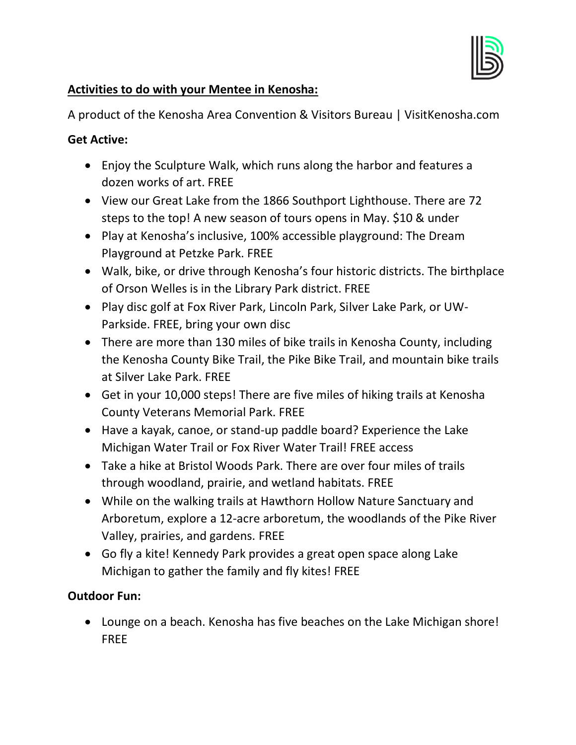

#### **Activities to do with your Mentee in Kenosha:**

A product of the Kenosha Area Convention & Visitors Bureau | VisitKenosha.com

#### **Get Active:**

- Enjoy the Sculpture Walk, which runs along the harbor and features a dozen works of art. FREE
- View our Great Lake from the 1866 Southport Lighthouse. There are 72 steps to the top! A new season of tours opens in May. \$10 & under
- Play at Kenosha's inclusive, 100% accessible playground: The Dream Playground at Petzke Park. FREE
- Walk, bike, or drive through Kenosha's four historic districts. The birthplace of Orson Welles is in the Library Park district. FREE
- Play disc golf at Fox River Park, Lincoln Park, Silver Lake Park, or UW-Parkside. FREE, bring your own disc
- There are more than 130 miles of bike trails in Kenosha County, including the Kenosha County Bike Trail, the Pike Bike Trail, and mountain bike trails at Silver Lake Park. FREE
- Get in your 10,000 steps! There are five miles of hiking trails at Kenosha County Veterans Memorial Park. FREE
- Have a kayak, canoe, or stand-up paddle board? Experience the Lake Michigan Water Trail or Fox River Water Trail! FREE access
- Take a hike at Bristol Woods Park. There are over four miles of trails through woodland, prairie, and wetland habitats. FREE
- While on the walking trails at Hawthorn Hollow Nature Sanctuary and Arboretum, explore a 12-acre arboretum, the woodlands of the Pike River Valley, prairies, and gardens. FREE
- Go fly a kite! Kennedy Park provides a great open space along Lake Michigan to gather the family and fly kites! FREE

## **Outdoor Fun:**

• Lounge on a beach. Kenosha has five beaches on the Lake Michigan shore! FREE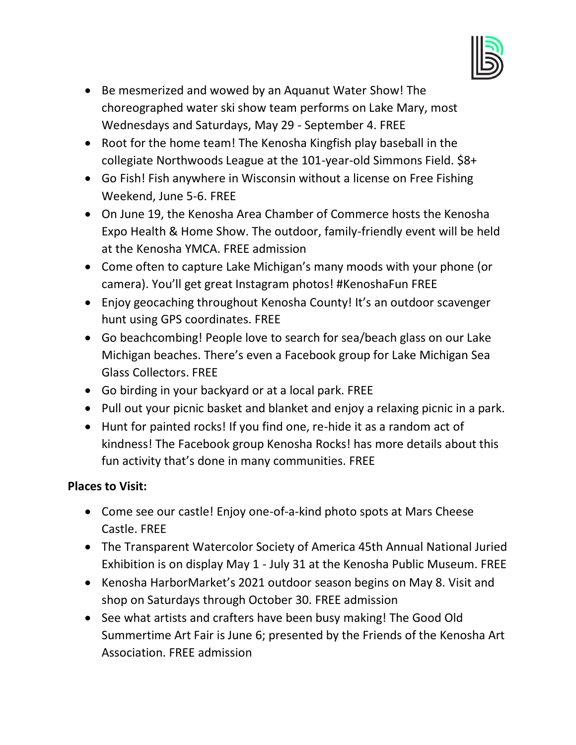

- Be mesmerized and wowed by an Aquanut Water Show! The choreographed water ski show team performs on Lake Mary, most Wednesdays and Saturdays, May 29 - September 4. FREE
- Root for the home team! The Kenosha Kingfish play baseball in the collegiate Northwoods League at the 101-year-old Simmons Field. \$8+
- Go Fish! Fish anywhere in Wisconsin without a license on Free Fishing Weekend, June 5-6. FREE
- On June 19, the Kenosha Area Chamber of Commerce hosts the Kenosha Expo Health & Home Show. The outdoor, family-friendly event will be held at the Kenosha YMCA. FREE admission
- Come often to capture Lake Michigan's many moods with your phone (or camera). You'll get great Instagram photos! #KenoshaFun FREE
- Enjoy geocaching throughout Kenosha County! It's an outdoor scavenger hunt using GPS coordinates. FREE
- Go beachcombing! People love to search for sea/beach glass on our Lake Michigan beaches. There's even a Facebook group for Lake Michigan Sea Glass Collectors. FREE
- Go birding in your backyard or at a local park. FREE
- Pull out your picnic basket and blanket and enjoy a relaxing picnic in a park.
- Hunt for painted rocks! If you find one, re-hide it as a random act of kindness! The Facebook group Kenosha Rocks! has more details about this fun activity that's done in many communities. FREE

## **Places to Visit:**

- Come see our castle! Enjoy one-of-a-kind photo spots at Mars Cheese Castle. FREE
- The Transparent Watercolor Society of America 45th Annual National Juried Exhibition is on display May 1 - July 31 at the Kenosha Public Museum. FREE
- Kenosha HarborMarket's 2021 outdoor season begins on May 8. Visit and shop on Saturdays through October 30. FREE admission
- See what artists and crafters have been busy making! The Good Old Summertime Art Fair is June 6; presented by the Friends of the Kenosha Art Association. FREE admission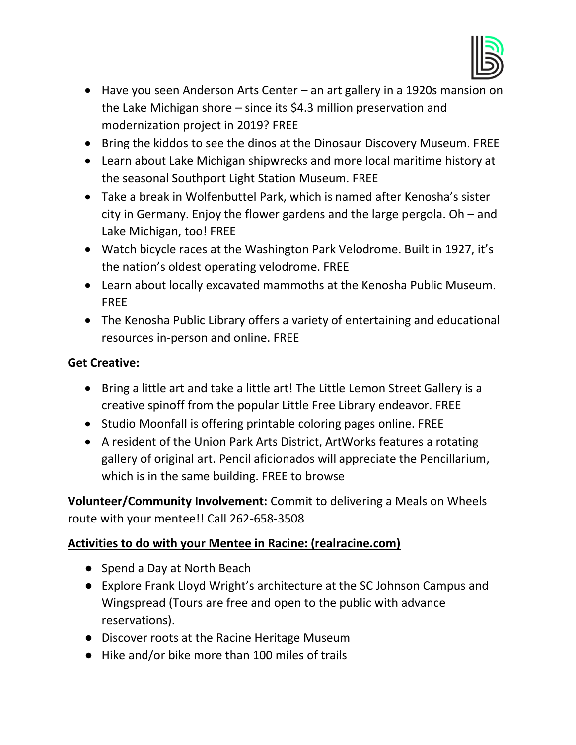

- Have you seen Anderson Arts Center an art gallery in a 1920s mansion on the Lake Michigan shore – since its \$4.3 million preservation and modernization project in 2019? FREE
- Bring the kiddos to see the dinos at the Dinosaur Discovery Museum. FREE
- Learn about Lake Michigan shipwrecks and more local maritime history at the seasonal Southport Light Station Museum. FREE
- Take a break in Wolfenbuttel Park, which is named after Kenosha's sister city in Germany. Enjoy the flower gardens and the large pergola. Oh – and Lake Michigan, too! FREE
- Watch bicycle races at the Washington Park Velodrome. Built in 1927, it's the nation's oldest operating velodrome. FREE
- Learn about locally excavated mammoths at the Kenosha Public Museum. FREE
- The Kenosha Public Library offers a variety of entertaining and educational resources in-person and online. FREE

## **Get Creative:**

- Bring a little art and take a little art! The Little Lemon Street Gallery is a creative spinoff from the popular Little Free Library endeavor. FREE
- Studio Moonfall is offering printable coloring pages online. FREE
- A resident of the Union Park Arts District, ArtWorks features a rotating gallery of original art. Pencil aficionados will appreciate the Pencillarium, which is in the same building. FREE to browse

**Volunteer/Community Involvement:** Commit to delivering a Meals on Wheels route with your mentee!! Call 262-658-3508

## **Activities to do with your Mentee in Racine: (realracine.com)**

- Spend a Day at North Beach
- Explore Frank Lloyd Wright's architecture at the SC Johnson Campus and Wingspread (Tours are free and open to the public with advance reservations).
- Discover roots at the Racine Heritage Museum
- Hike and/or bike more than 100 miles of trails